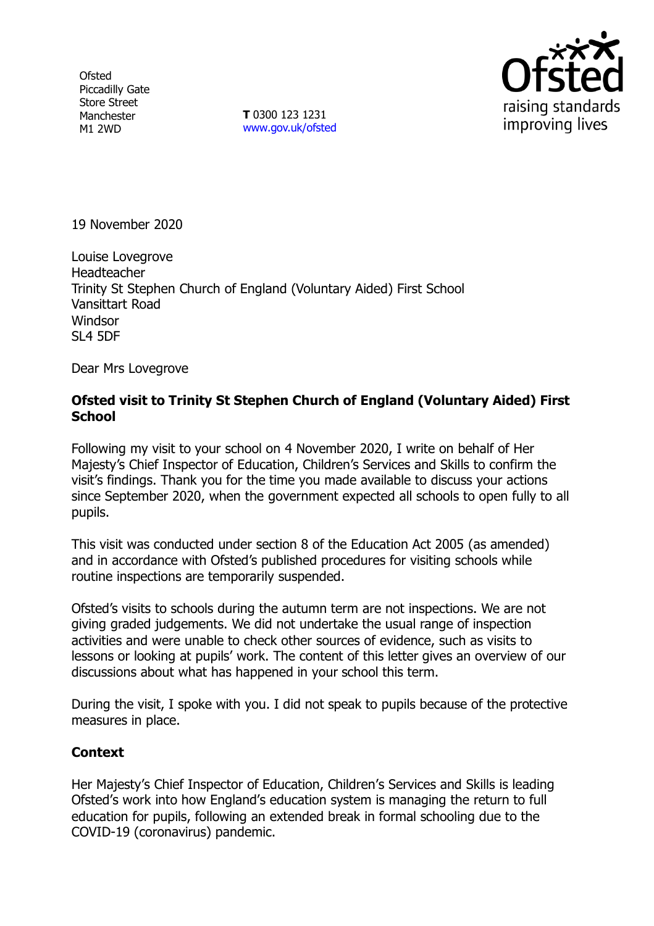**Ofsted** Piccadilly Gate Store Street Manchester M1 2WD

**T** 0300 123 1231 [www.gov.uk/ofsted](http://www.gov.uk/ofsted)



19 November 2020

Louise Lovegrove Headteacher Trinity St Stephen Church of England (Voluntary Aided) First School Vansittart Road Windsor SL4 5DF

Dear Mrs Lovegrove

## **Ofsted visit to Trinity St Stephen Church of England (Voluntary Aided) First School**

Following my visit to your school on 4 November 2020, I write on behalf of Her Majesty's Chief Inspector of Education, Children's Services and Skills to confirm the visit's findings. Thank you for the time you made available to discuss your actions since September 2020, when the government expected all schools to open fully to all pupils.

This visit was conducted under section 8 of the Education Act 2005 (as amended) and in accordance with Ofsted's published procedures for visiting schools while routine inspections are temporarily suspended.

Ofsted's visits to schools during the autumn term are not inspections. We are not giving graded judgements. We did not undertake the usual range of inspection activities and were unable to check other sources of evidence, such as visits to lessons or looking at pupils' work. The content of this letter gives an overview of our discussions about what has happened in your school this term.

During the visit, I spoke with you. I did not speak to pupils because of the protective measures in place.

## **Context**

Her Majesty's Chief Inspector of Education, Children's Services and Skills is leading Ofsted's work into how England's education system is managing the return to full education for pupils, following an extended break in formal schooling due to the COVID-19 (coronavirus) pandemic.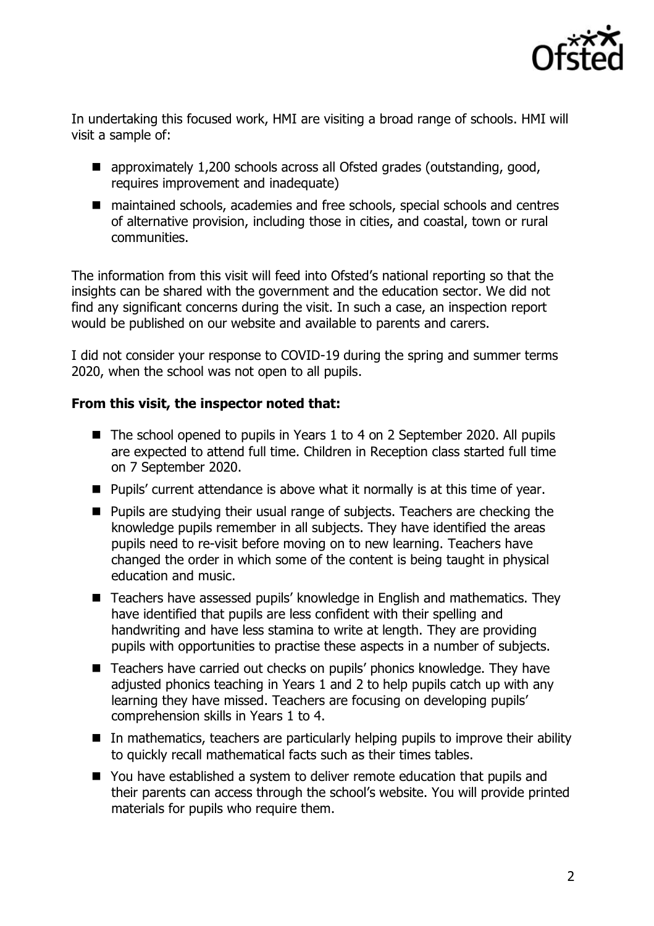

In undertaking this focused work, HMI are visiting a broad range of schools. HMI will visit a sample of:

- approximately 1,200 schools across all Ofsted grades (outstanding, good, requires improvement and inadequate)
- maintained schools, academies and free schools, special schools and centres of alternative provision, including those in cities, and coastal, town or rural communities.

The information from this visit will feed into Ofsted's national reporting so that the insights can be shared with the government and the education sector. We did not find any significant concerns during the visit. In such a case, an inspection report would be published on our website and available to parents and carers.

I did not consider your response to COVID-19 during the spring and summer terms 2020, when the school was not open to all pupils.

## **From this visit, the inspector noted that:**

- The school opened to pupils in Years 1 to 4 on 2 September 2020. All pupils are expected to attend full time. Children in Reception class started full time on 7 September 2020.
- Pupils' current attendance is above what it normally is at this time of year.
- Pupils are studying their usual range of subjects. Teachers are checking the knowledge pupils remember in all subjects. They have identified the areas pupils need to re-visit before moving on to new learning. Teachers have changed the order in which some of the content is being taught in physical education and music.
- Teachers have assessed pupils' knowledge in English and mathematics. They have identified that pupils are less confident with their spelling and handwriting and have less stamina to write at length. They are providing pupils with opportunities to practise these aspects in a number of subjects.
- Teachers have carried out checks on pupils' phonics knowledge. They have adjusted phonics teaching in Years 1 and 2 to help pupils catch up with any learning they have missed. Teachers are focusing on developing pupils' comprehension skills in Years 1 to 4.
- In mathematics, teachers are particularly helping pupils to improve their ability to quickly recall mathematical facts such as their times tables.
- You have established a system to deliver remote education that pupils and their parents can access through the school's website. You will provide printed materials for pupils who require them.